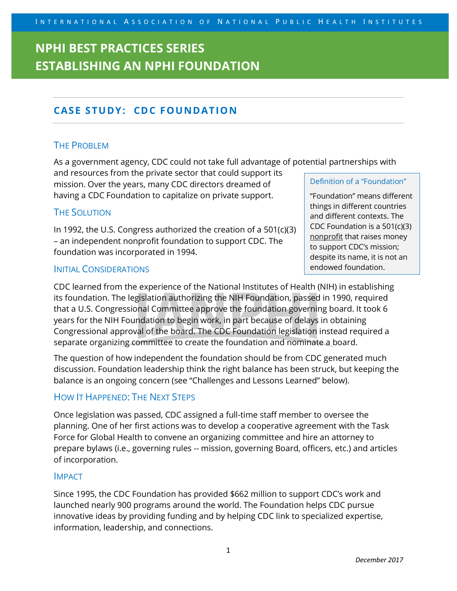## **CASE STUDY: CDC FOUNDATION**

### THE PROBLEM

As a government agency, CDC could not take full advantage of potential partnerships with

and resources from the private sector that could support its mission. Over the years, many CDC directors dreamed of having a CDC Foundation to capitalize on private support.

### THE SOLUTION

In 1992, the U.S. Congress authorized the creation of a 501(c)(3) – an independent nonprofit foundation to support CDC. The foundation was incorporated in 1994.

### INITIAL CONSIDERATIONS

CDC learned from the experience of the National Institutes of Health (NIH) in establishing its foundation. The legislation authorizing the NIH Foundation, passed in 1990, required that a U.S. Congressional Committee approve the foundation governing board. It took 6 years for the NIH Foundation to begin work, in part because of delays in obtaining Congressional approval of the board. The CDC Foundation legislation instead required a separate organizing committee to create the foundation and nominate a board.

The question of how independent the foundation should be from CDC generated much discussion. Foundation leadership think the right balance has been struck, but keeping the balance is an ongoing concern (see "Challenges and Lessons Learned" below).

## HOW IT HAPPENED: THE NEXT STEPS

Once legislation was passed, CDC assigned a full-time staff member to oversee the planning. One of her first actions was to develop a cooperative agreement with the Task Force for Global Health to convene an organizing committee and hire an attorney to prepare bylaws (i.e., governing rules -- mission, governing Board, officers, etc.) and articles of incorporation.

### IMPACT

Since 1995, the CDC Foundation has provided \$662 million to support CDC's work and launched nearly 900 programs around the world. The Foundation helps CDC pursue innovative ideas by providing funding and by helping CDC link to specialized expertise, information, leadership, and connections.

#### Definition of a "Foundation"

"Foundation" means different things in different countries and different contexts. The CDC Foundation is a 501(c)(3) nonprofit that raises money to support CDC's mission; despite its name, it is not an endowed foundation.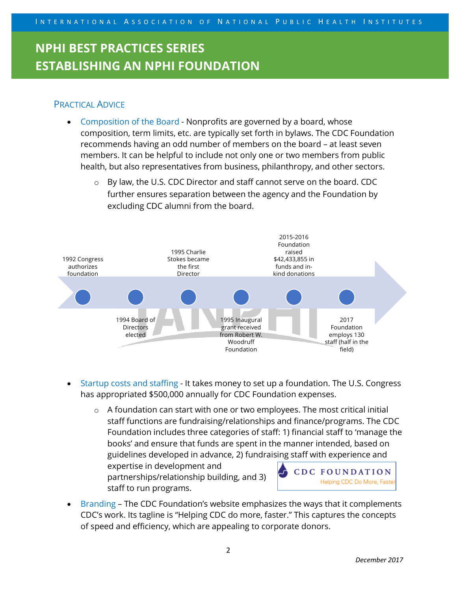## PRACTICAL ADVICE

- Composition of the Board Nonprofits are governed by a board, whose composition, term limits, etc. are typically set forth in bylaws. The CDC Foundation recommends having an odd number of members on the board – at least seven members. It can be helpful to include not only one or two members from public health, but also representatives from business, philanthropy, and other sectors.
	- $\circ$  By law, the U.S. CDC Director and staff cannot serve on the board. CDC further ensures separation between the agency and the Foundation by excluding CDC alumni from the board.



- Startup costs and staffing It takes money to set up a foundation. The U.S. Congress has appropriated \$500,000 annually for CDC Foundation expenses.
	- $\circ$  A foundation can start with one or two employees. The most critical initial staff functions are fundraising/relationships and finance/programs. The CDC Foundation includes three categories of staff: 1) financial staff to 'manage the books' and ensure that funds are spent in the manner intended, based on guidelines developed in advance, 2) fundraising staff with experience and

expertise in development and partnerships/relationship building, and 3) staff to run programs.



• Branding – The CDC Foundation's website emphasizes the ways that it complements CDC's work. Its tagline is "Helping CDC do more, faster." This captures the concepts of speed and efficiency, which are appealing to corporate donors.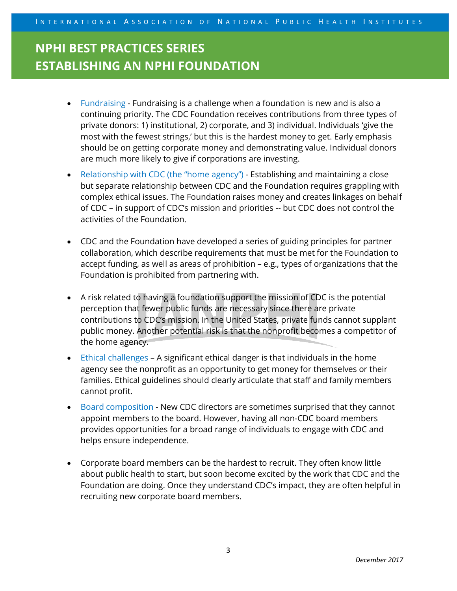- Fundraising Fundraising is a challenge when a foundation is new and is also a continuing priority. The CDC Foundation receives contributions from three types of private donors: 1) institutional, 2) corporate, and 3) individual. Individuals 'give the most with the fewest strings,' but this is the hardest money to get. Early emphasis should be on getting corporate money and demonstrating value. Individual donors are much more likely to give if corporations are investing.
- Relationship with CDC (the "home agency") Establishing and maintaining a close but separate relationship between CDC and the Foundation requires grappling with complex ethical issues. The Foundation raises money and creates linkages on behalf of CDC – in support of CDC's mission and priorities -- but CDC does not control the activities of the Foundation.
- CDC and the Foundation have developed a series of guiding principles for partner collaboration, which describe requirements that must be met for the Foundation to accept funding, as well as areas of prohibition – e.g., types of organizations that the Foundation is prohibited from partnering with.
- A risk related to having a foundation support the mission of CDC is the potential perception that fewer public funds are necessary since there are private contributions to CDC's mission. In the United States, private funds cannot supplant public money. Another potential risk is that the nonprofit becomes a competitor of the home agency.
- Ethical challenges A significant ethical danger is that individuals in the home agency see the nonprofit as an opportunity to get money for themselves or their families. Ethical guidelines should clearly articulate that staff and family members cannot profit.
- Board composition New CDC directors are sometimes surprised that they cannot appoint members to the board. However, having all non-CDC board members provides opportunities for a broad range of individuals to engage with CDC and helps ensure independence.
- Corporate board members can be the hardest to recruit. They often know little about public health to start, but soon become excited by the work that CDC and the Foundation are doing. Once they understand CDC's impact, they are often helpful in recruiting new corporate board members.